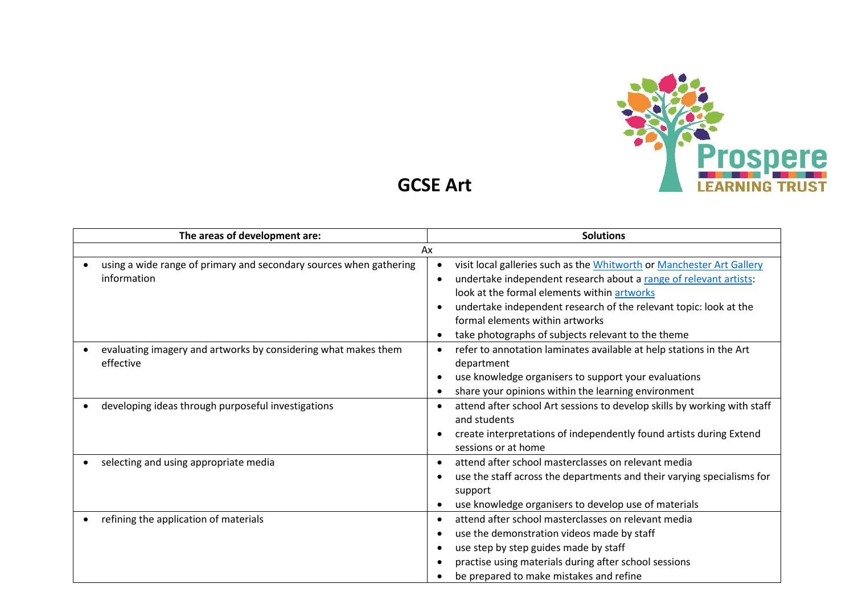

**GCSE Art**

| The areas of development are:                                      | <b>Solutions</b>                                                         |
|--------------------------------------------------------------------|--------------------------------------------------------------------------|
| Ax                                                                 |                                                                          |
| using a wide range of primary and secondary sources when gathering | visit local galleries such as the Whitworth or Manchester Art Gallery    |
| information                                                        | undertake independent research about a range of relevant artists:        |
|                                                                    | look at the formal elements within artworks                              |
|                                                                    | undertake independent research of the relevant topic: look at the        |
|                                                                    | formal elements within artworks                                          |
|                                                                    | take photographs of subjects relevant to the theme<br>$\bullet$          |
| evaluating imagery and artworks by considering what makes them     | refer to annotation laminates available at help stations in the Art      |
| effective                                                          | department                                                               |
|                                                                    | use knowledge organisers to support your evaluations                     |
|                                                                    | share your opinions within the learning environment                      |
| developing ideas through purposeful investigations                 | attend after school Art sessions to develop skills by working with staff |
|                                                                    | and students                                                             |
|                                                                    | create interpretations of independently found artists during Extend      |
|                                                                    | sessions or at home                                                      |
| selecting and using appropriate media                              | attend after school masterclasses on relevant media                      |
|                                                                    | use the staff across the departments and their varying specialisms for   |
|                                                                    | support                                                                  |
|                                                                    | use knowledge organisers to develop use of materials                     |
| refining the application of materials                              | attend after school masterclasses on relevant media                      |
|                                                                    | use the demonstration videos made by staff                               |
|                                                                    | use step by step guides made by staff                                    |
|                                                                    | practise using materials during after school sessions                    |
|                                                                    | be prepared to make mistakes and refine                                  |